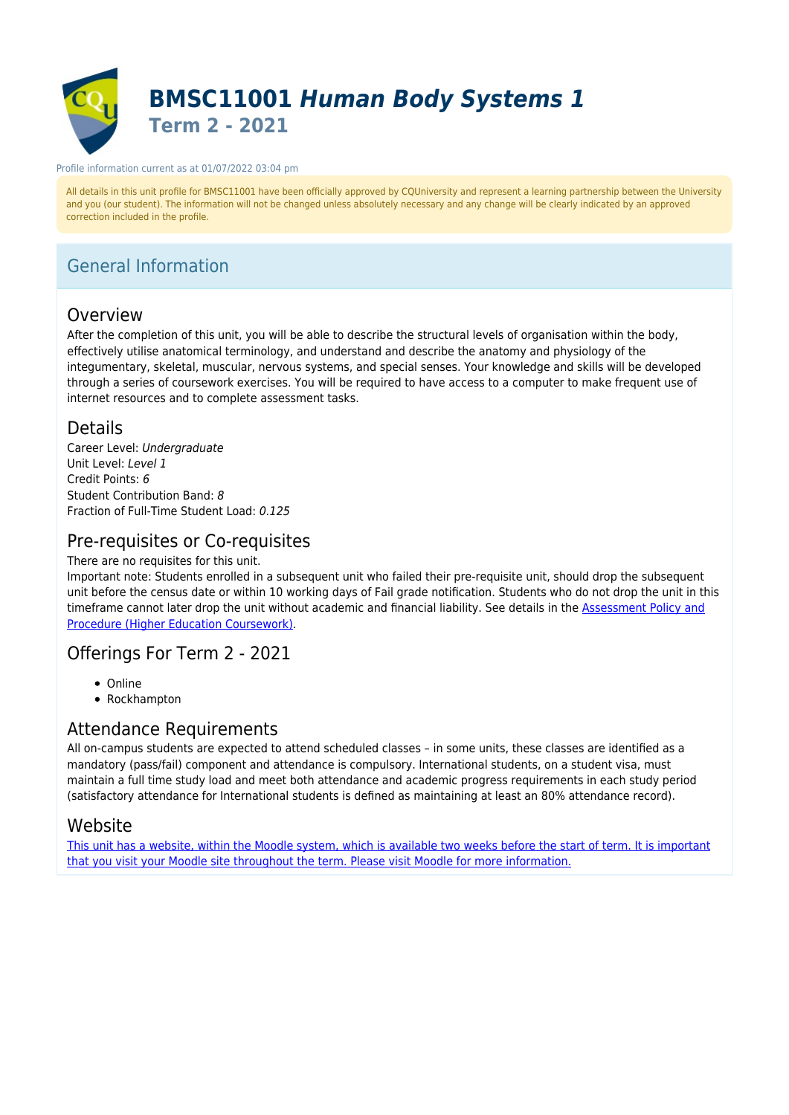

#### Profile information current as at 01/07/2022 03:04 pm

All details in this unit profile for BMSC11001 have been officially approved by CQUniversity and represent a learning partnership between the University and you (our student). The information will not be changed unless absolutely necessary and any change will be clearly indicated by an approved correction included in the profile.

# General Information

# Overview

After the completion of this unit, you will be able to describe the structural levels of organisation within the body, effectively utilise anatomical terminology, and understand and describe the anatomy and physiology of the integumentary, skeletal, muscular, nervous systems, and special senses. Your knowledge and skills will be developed through a series of coursework exercises. You will be required to have access to a computer to make frequent use of internet resources and to complete assessment tasks.

### Details

Career Level: Undergraduate Unit Level: Level 1 Credit Points: 6 Student Contribution Band: 8 Fraction of Full-Time Student Load: 0.125

# Pre-requisites or Co-requisites

There are no requisites for this unit.

Important note: Students enrolled in a subsequent unit who failed their pre-requisite unit, should drop the subsequent unit before the census date or within 10 working days of Fail grade notification. Students who do not drop the unit in this timeframe cannot later drop the unit without academic and financial liability. See details in the [Assessment Policy and](https://www.cqu.edu.au/policy) [Procedure \(Higher Education Coursework\)](https://www.cqu.edu.au/policy).

### Offerings For Term 2 - 2021

- Online
- Rockhampton

# Attendance Requirements

All on-campus students are expected to attend scheduled classes – in some units, these classes are identified as a mandatory (pass/fail) component and attendance is compulsory. International students, on a student visa, must maintain a full time study load and meet both attendance and academic progress requirements in each study period (satisfactory attendance for International students is defined as maintaining at least an 80% attendance record).

### Website

[This unit has a website, within the Moodle system, which is available two weeks before the start of term. It is important](https://moodle.cqu.edu.au) [that you visit your Moodle site throughout the term. Please visit Moodle for more information.](https://moodle.cqu.edu.au)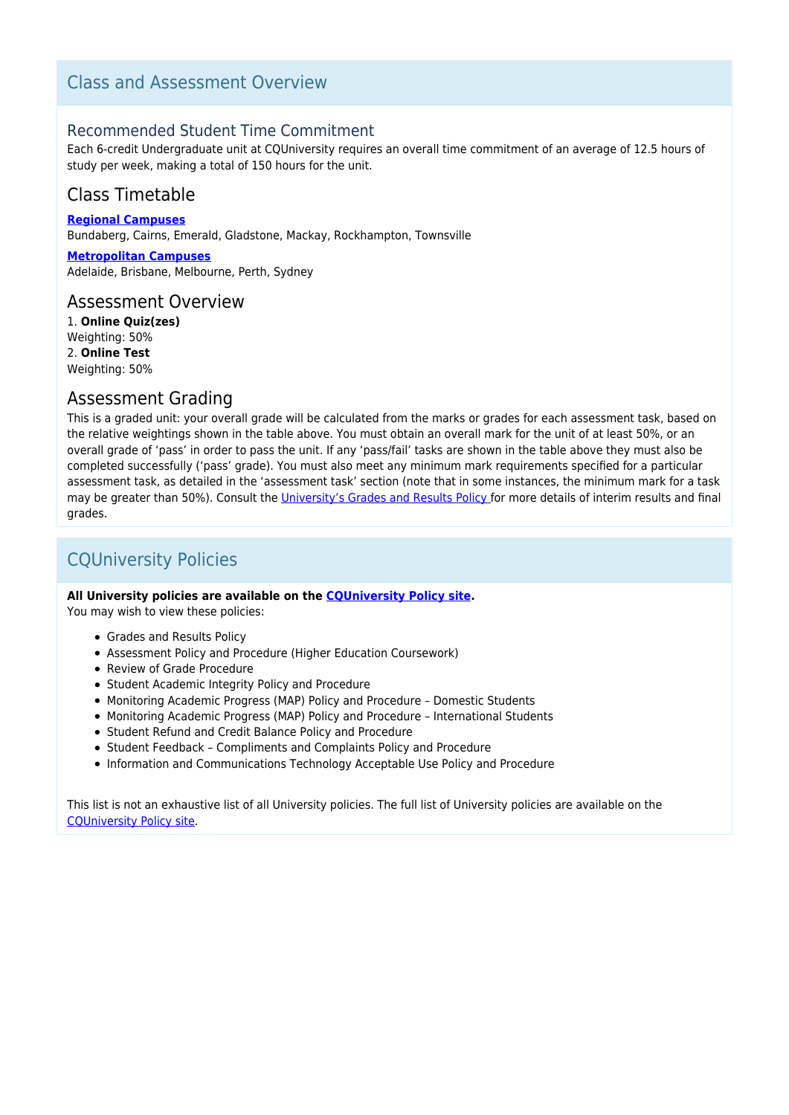# Class and Assessment Overview

### Recommended Student Time Commitment

Each 6-credit Undergraduate unit at CQUniversity requires an overall time commitment of an average of 12.5 hours of study per week, making a total of 150 hours for the unit.

# Class Timetable

**[Regional Campuses](https://handbook.cqu.edu.au/facet/timetables)**

Bundaberg, Cairns, Emerald, Gladstone, Mackay, Rockhampton, Townsville

**[Metropolitan Campuses](https://handbook.cqu.edu.au/facet/timetables)** Adelaide, Brisbane, Melbourne, Perth, Sydney

### Assessment Overview

1. **Online Quiz(zes)** Weighting: 50% 2. **Online Test** Weighting: 50%

### Assessment Grading

This is a graded unit: your overall grade will be calculated from the marks or grades for each assessment task, based on the relative weightings shown in the table above. You must obtain an overall mark for the unit of at least 50%, or an overall grade of 'pass' in order to pass the unit. If any 'pass/fail' tasks are shown in the table above they must also be completed successfully ('pass' grade). You must also meet any minimum mark requirements specified for a particular assessment task, as detailed in the 'assessment task' section (note that in some instances, the minimum mark for a task may be greater than 50%). Consult the [University's Grades and Results Policy](https://www.cqu.edu.au/policy) for more details of interim results and final grades.

# CQUniversity Policies

#### **All University policies are available on the [CQUniversity Policy site.](https://policy.cqu.edu.au/)**

You may wish to view these policies:

- Grades and Results Policy
- Assessment Policy and Procedure (Higher Education Coursework)
- Review of Grade Procedure
- Student Academic Integrity Policy and Procedure
- Monitoring Academic Progress (MAP) Policy and Procedure Domestic Students
- Monitoring Academic Progress (MAP) Policy and Procedure International Students
- Student Refund and Credit Balance Policy and Procedure
- Student Feedback Compliments and Complaints Policy and Procedure
- Information and Communications Technology Acceptable Use Policy and Procedure

This list is not an exhaustive list of all University policies. The full list of University policies are available on the [CQUniversity Policy site.](https://policy.cqu.edu.au/)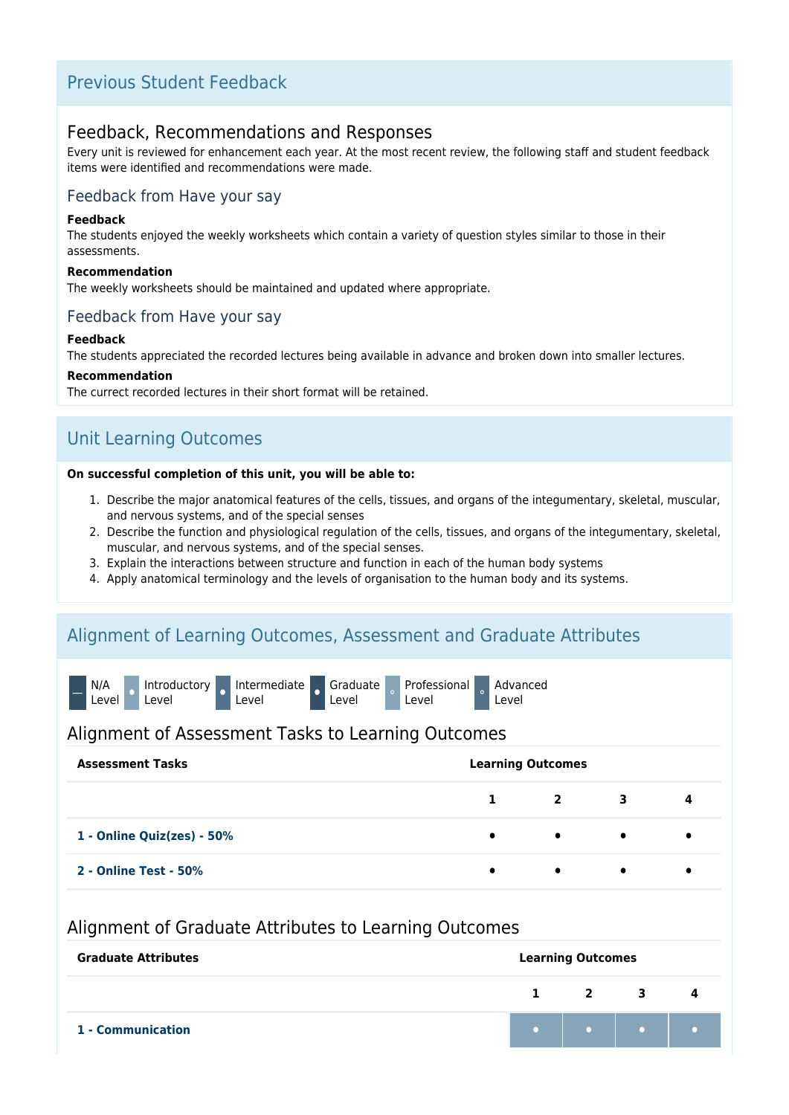# Previous Student Feedback

### Feedback, Recommendations and Responses

Every unit is reviewed for enhancement each year. At the most recent review, the following staff and student feedback items were identified and recommendations were made.

### Feedback from Have your say

#### **Feedback**

The students enjoyed the weekly worksheets which contain a variety of question styles similar to those in their assessments.

#### **Recommendation**

The weekly worksheets should be maintained and updated where appropriate.

### Feedback from Have your say

#### **Feedback**

The students appreciated the recorded lectures being available in advance and broken down into smaller lectures.

#### **Recommendation**

The currect recorded lectures in their short format will be retained.

# Unit Learning Outcomes

#### **On successful completion of this unit, you will be able to:**

- 1. Describe the major anatomical features of the cells, tissues, and organs of the integumentary, skeletal, muscular, and nervous systems, and of the special senses
- 2. Describe the function and physiological regulation of the cells, tissues, and organs of the integumentary, skeletal, muscular, and nervous systems, and of the special senses.
- 3. Explain the interactions between structure and function in each of the human body systems
- 4. Apply anatomical terminology and the levels of organisation to the human body and its systems.

### Alignment of Learning Outcomes, Assessment and Graduate Attributes



### Alignment of Assessment Tasks to Learning Outcomes

| <b>Assessment Tasks</b>    | <b>Learning Outcomes</b> |                         |           |   |
|----------------------------|--------------------------|-------------------------|-----------|---|
|                            | 1                        | $\overline{\mathbf{2}}$ | 3         | 4 |
| 1 - Online Quiz(zes) - 50% | $\bullet$                | $\bullet$               | $\bullet$ |   |
| 2 - Online Test - 50%      | $\bullet$                | $\bullet$               | $\bullet$ |   |

### Alignment of Graduate Attributes to Learning Outcomes

| <b>Graduate Attributes</b> | <b>Learning Outcomes</b> |  |                     |  |  |
|----------------------------|--------------------------|--|---------------------|--|--|
|                            |                          |  | $1 \quad 2 \quad 3$ |  |  |
| 1 - Communication          |                          |  |                     |  |  |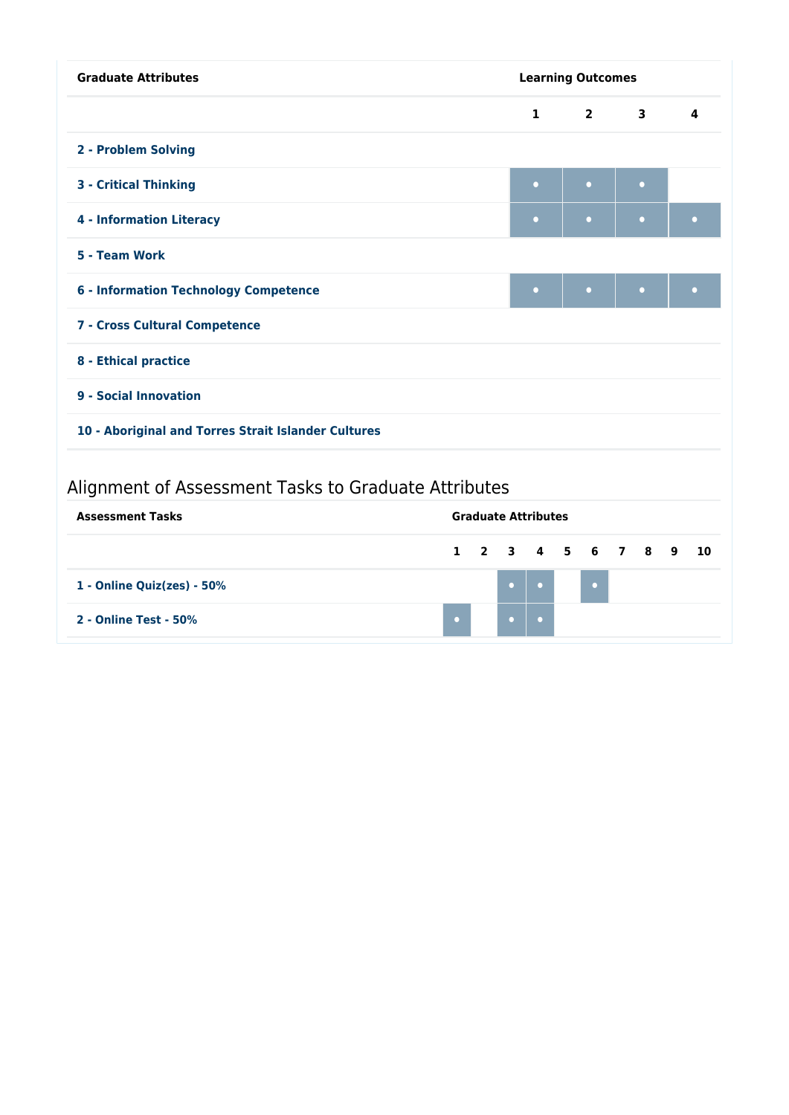| <b>Graduate Attributes</b>                          | <b>Learning Outcomes</b> |           |           |                         |
|-----------------------------------------------------|--------------------------|-----------|-----------|-------------------------|
|                                                     | $\mathbf{1}$             | $2 \t3$   |           | $\overline{\mathbf{A}}$ |
| 2 - Problem Solving                                 |                          |           |           |                         |
| <b>3 - Critical Thinking</b>                        | $\bullet$                | $\bullet$ | $\bullet$ |                         |
| <b>4 - Information Literacy</b>                     | $\bullet$                | $\bullet$ | $\bullet$ | $\bullet$               |
| 5 - Team Work                                       |                          |           |           |                         |
| <b>6 - Information Technology Competence</b>        | $\bullet$                | $\bullet$ | $\bullet$ | $\bullet$               |
| 7 - Cross Cultural Competence                       |                          |           |           |                         |
| 8 - Ethical practice                                |                          |           |           |                         |
| 9 - Social Innovation                               |                          |           |           |                         |
| 10 - Aboriginal and Torres Strait Islander Cultures |                          |           |           |                         |
|                                                     |                          |           |           |                         |

# Alignment of Assessment Tasks to Graduate Attributes

| <b>Assessment Tasks</b>       | <b>Graduate Attributes</b> |  |                      |            |  |  |  |
|-------------------------------|----------------------------|--|----------------------|------------|--|--|--|
|                               |                            |  | 1 2 3 4 5 6 7 8 9 10 |            |  |  |  |
| 1 - Online Quiz(zes) - $50\%$ |                            |  |                      | $\sqrt{2}$ |  |  |  |
| 2 - Online Test - 50%         | $\bullet$ .                |  |                      |            |  |  |  |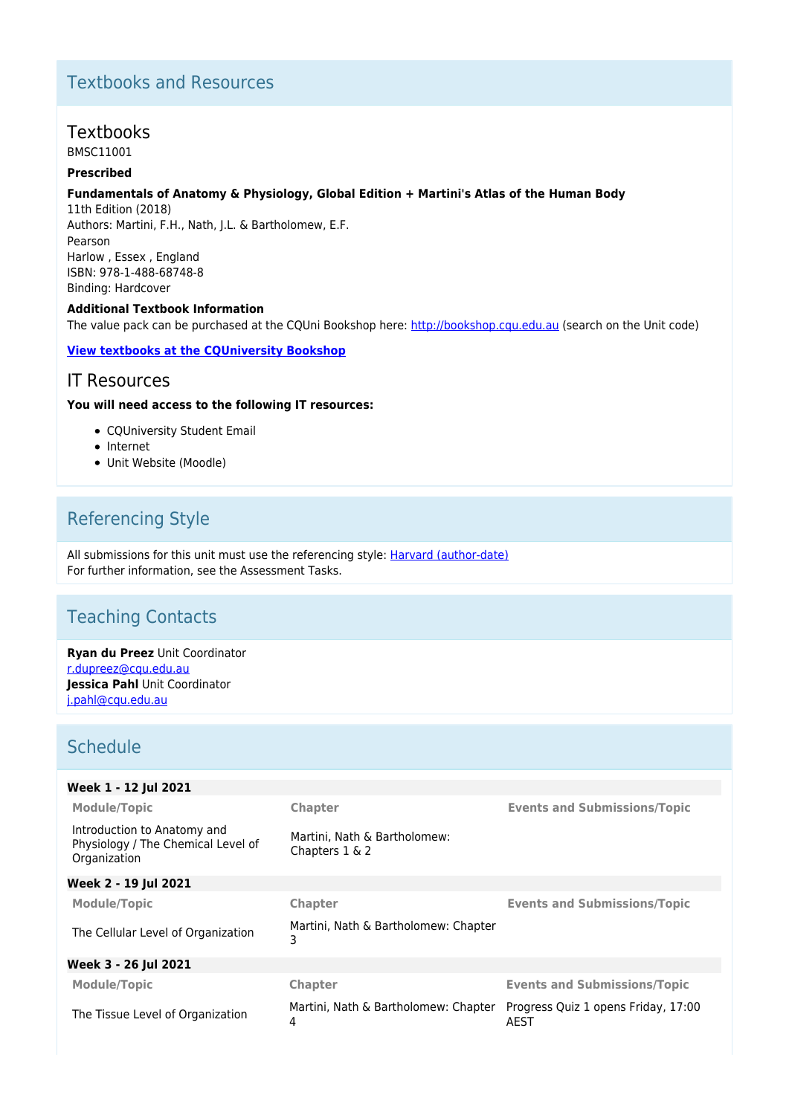# Textbooks and Resources

### **Textbooks**

BMSC11001

### **Prescribed**

### **Fundamentals of Anatomy & Physiology, Global Edition + Martini's Atlas of the Human Body**

11th Edition (2018) Authors: Martini, F.H., Nath, J.L. & Bartholomew, E.F. Pearson Harlow , Essex , England ISBN: 978-1-488-68748-8 Binding: Hardcover

#### **Additional Textbook Information**

The value pack can be purchased at the CQUni Bookshop here:<http://bookshop.cqu.edu.au>(search on the Unit code)

### **[View textbooks at the CQUniversity Bookshop](https://bookshop.cqu.edu.au/)**

### IT Resources

#### **You will need access to the following IT resources:**

- COUniversity Student Email
- Internet
- Unit Website (Moodle)

# Referencing Style

All submissions for this unit must use the referencing style: [Harvard \(author-date\)](https://delivery-cqucontenthub.stylelabs.cloud/api/public/content/harvard-referencing-style.pdf?v=306efe7e) For further information, see the Assessment Tasks.

# Teaching Contacts

**Ryan du Preez** Unit Coordinator [r.dupreez@cqu.edu.au](mailto:r.dupreez@cqu.edu.au) **Jessica Pahl** Unit Coordinator [j.pahl@cqu.edu.au](mailto:j.pahl@cqu.edu.au)

# **Schedule**

| Week 1 - 12 Jul 2021                                                              |                                                   |                                             |
|-----------------------------------------------------------------------------------|---------------------------------------------------|---------------------------------------------|
| <b>Module/Topic</b>                                                               | Chapter                                           | <b>Events and Submissions/Topic</b>         |
| Introduction to Anatomy and<br>Physiology / The Chemical Level of<br>Organization | Martini, Nath & Bartholomew:<br>Chapters $1 \& 2$ |                                             |
| Week 2 - 19 Jul 2021                                                              |                                                   |                                             |
| <b>Module/Topic</b>                                                               | Chapter                                           | <b>Events and Submissions/Topic</b>         |
| The Cellular Level of Organization                                                | Martini, Nath & Bartholomew: Chapter<br>3         |                                             |
| Week 3 - 26 Jul 2021                                                              |                                                   |                                             |
| <b>Module/Topic</b>                                                               | Chapter                                           | <b>Events and Submissions/Topic</b>         |
| The Tissue Level of Organization                                                  | Martini, Nath & Bartholomew: Chapter<br>4         | Progress Quiz 1 opens Friday, 17:00<br>AEST |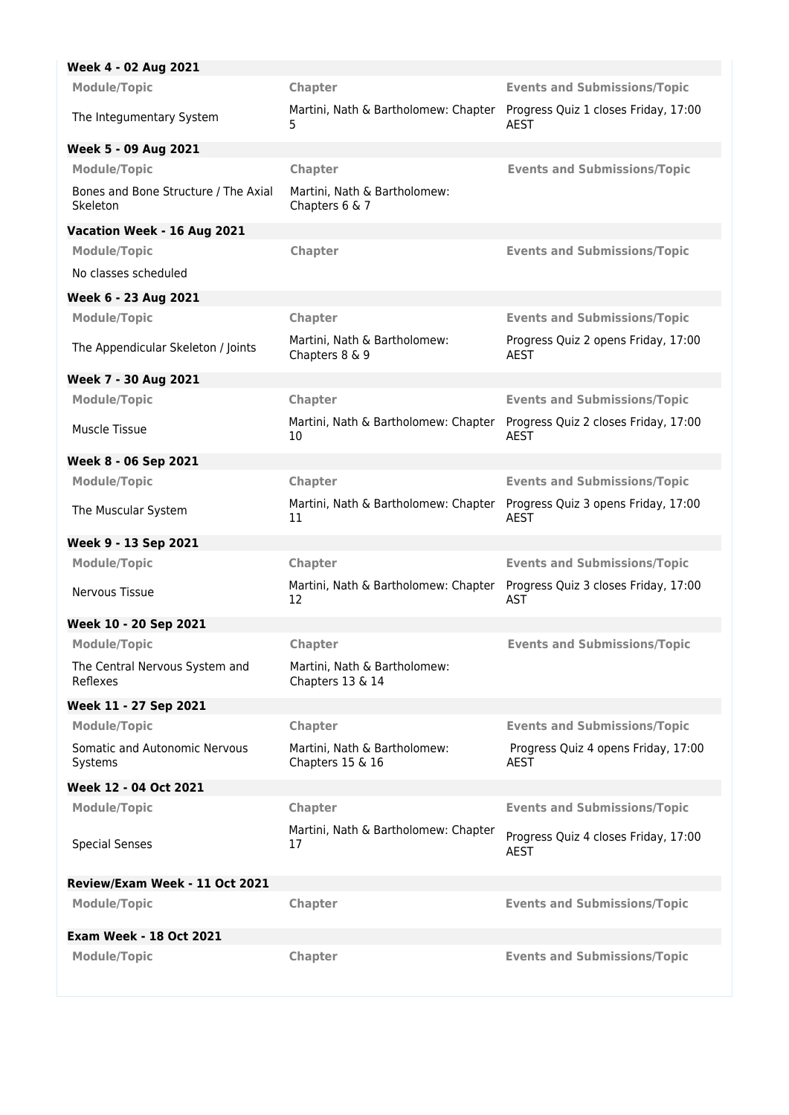| Week 4 - 02 Aug 2021                             |                                                                                 |                                                     |
|--------------------------------------------------|---------------------------------------------------------------------------------|-----------------------------------------------------|
| <b>Module/Topic</b>                              | Chapter                                                                         | <b>Events and Submissions/Topic</b>                 |
| The Integumentary System                         | Martini, Nath & Bartholomew: Chapter Progress Quiz 1 closes Friday, 17:00<br>5. | AEST                                                |
| Week 5 - 09 Aug 2021                             |                                                                                 |                                                     |
| <b>Module/Topic</b>                              | Chapter                                                                         | <b>Events and Submissions/Topic</b>                 |
| Bones and Bone Structure / The Axial<br>Skeleton | Martini, Nath & Bartholomew:<br>Chapters 6 & 7                                  |                                                     |
| Vacation Week - 16 Aug 2021                      |                                                                                 |                                                     |
| <b>Module/Topic</b>                              | <b>Chapter</b>                                                                  | <b>Events and Submissions/Topic</b>                 |
| No classes scheduled                             |                                                                                 |                                                     |
| Week 6 - 23 Aug 2021                             |                                                                                 |                                                     |
| <b>Module/Topic</b>                              | Chapter                                                                         | <b>Events and Submissions/Topic</b>                 |
| The Appendicular Skeleton / Joints               | Martini, Nath & Bartholomew:<br>Chapters 8 & 9                                  | Progress Quiz 2 opens Friday, 17:00<br>AEST         |
| Week 7 - 30 Aug 2021                             |                                                                                 |                                                     |
| <b>Module/Topic</b>                              | Chapter                                                                         | <b>Events and Submissions/Topic</b>                 |
| Muscle Tissue                                    | Martini, Nath & Bartholomew: Chapter<br>10                                      | Progress Quiz 2 closes Friday, 17:00<br>AEST        |
| Week 8 - 06 Sep 2021                             |                                                                                 |                                                     |
| <b>Module/Topic</b>                              | Chapter                                                                         | <b>Events and Submissions/Topic</b>                 |
| The Muscular System                              | Martini, Nath & Bartholomew: Chapter<br>11                                      | Progress Quiz 3 opens Friday, 17:00<br><b>AEST</b>  |
| Week 9 - 13 Sep 2021                             |                                                                                 |                                                     |
| <b>Module/Topic</b>                              | Chapter                                                                         | <b>Events and Submissions/Topic</b>                 |
| Nervous Tissue                                   | Martini, Nath & Bartholomew: Chapter<br>12                                      | Progress Quiz 3 closes Friday, 17:00<br><b>AST</b>  |
| Week 10 - 20 Sep 2021                            |                                                                                 |                                                     |
| <b>Module/Topic</b>                              | Chapter                                                                         | <b>Events and Submissions/Topic</b>                 |
| The Central Nervous System and<br>Reflexes       | Martini, Nath & Bartholomew:<br>Chapters 13 & 14                                |                                                     |
| Week 11 - 27 Sep 2021                            |                                                                                 |                                                     |
| <b>Module/Topic</b>                              | Chapter                                                                         | <b>Events and Submissions/Topic</b>                 |
| Somatic and Autonomic Nervous<br>Systems         | Martini, Nath & Bartholomew:<br>Chapters 15 & 16                                | Progress Quiz 4 opens Friday, 17:00<br>AEST         |
| Week 12 - 04 Oct 2021                            |                                                                                 |                                                     |
| <b>Module/Topic</b>                              | Chapter                                                                         | <b>Events and Submissions/Topic</b>                 |
| <b>Special Senses</b>                            | Martini, Nath & Bartholomew: Chapter<br>17                                      | Progress Quiz 4 closes Friday, 17:00<br><b>AEST</b> |
| Review/Exam Week - 11 Oct 2021                   |                                                                                 |                                                     |
| <b>Module/Topic</b>                              | Chapter                                                                         | <b>Events and Submissions/Topic</b>                 |
| <b>Exam Week - 18 Oct 2021</b>                   |                                                                                 |                                                     |
| <b>Module/Topic</b>                              | Chapter                                                                         | <b>Events and Submissions/Topic</b>                 |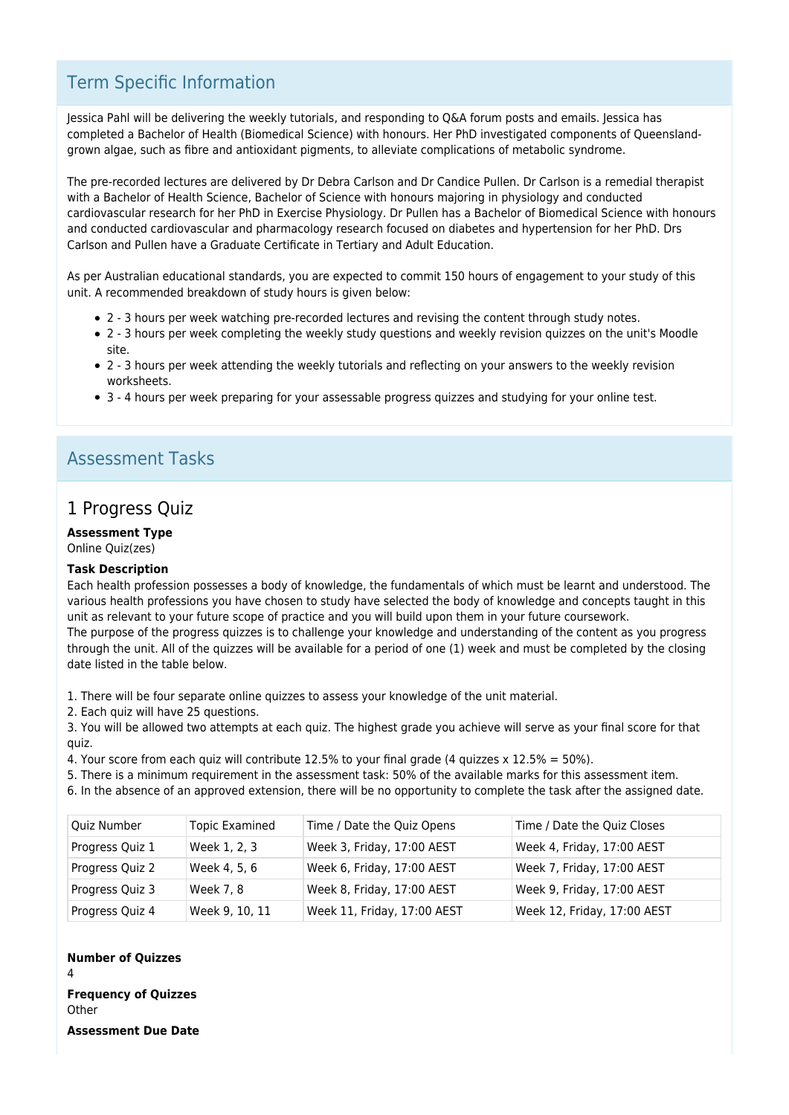# Term Specific Information

Jessica Pahl will be delivering the weekly tutorials, and responding to Q&A forum posts and emails. Jessica has completed a Bachelor of Health (Biomedical Science) with honours. Her PhD investigated components of Queenslandgrown algae, such as fibre and antioxidant pigments, to alleviate complications of metabolic syndrome.

The pre-recorded lectures are delivered by Dr Debra Carlson and Dr Candice Pullen. Dr Carlson is a remedial therapist with a Bachelor of Health Science, Bachelor of Science with honours majoring in physiology and conducted cardiovascular research for her PhD in Exercise Physiology. Dr Pullen has a Bachelor of Biomedical Science with honours and conducted cardiovascular and pharmacology research focused on diabetes and hypertension for her PhD. Drs Carlson and Pullen have a Graduate Certificate in Tertiary and Adult Education.

As per Australian educational standards, you are expected to commit 150 hours of engagement to your study of this unit. A recommended breakdown of study hours is given below:

- 2 3 hours per week watching pre-recorded lectures and revising the content through study notes.
- 2 3 hours per week completing the weekly study questions and weekly revision quizzes on the unit's Moodle site.
- 2 3 hours per week attending the weekly tutorials and reflecting on your answers to the weekly revision worksheets.
- 3 4 hours per week preparing for your assessable progress quizzes and studying for your online test.

# Assessment Tasks

### 1 Progress Quiz

### **Assessment Type**

Online Quiz(zes)

#### **Task Description**

Each health profession possesses a body of knowledge, the fundamentals of which must be learnt and understood. The various health professions you have chosen to study have selected the body of knowledge and concepts taught in this unit as relevant to your future scope of practice and you will build upon them in your future coursework. The purpose of the progress quizzes is to challenge your knowledge and understanding of the content as you progress through the unit. All of the quizzes will be available for a period of one (1) week and must be completed by the closing date listed in the table below.

1. There will be four separate online quizzes to assess your knowledge of the unit material.

2. Each quiz will have 25 questions.

3. You will be allowed two attempts at each quiz. The highest grade you achieve will serve as your final score for that quiz.

4. Your score from each quiz will contribute 12.5% to your final grade (4 quizzes x 12.5% = 50%).

5. There is a minimum requirement in the assessment task: 50% of the available marks for this assessment item.

6. In the absence of an approved extension, there will be no opportunity to complete the task after the assigned date.

| Quiz Number     | <b>Topic Examined</b> | Time / Date the Quiz Opens  | Time / Date the Quiz Closes |
|-----------------|-----------------------|-----------------------------|-----------------------------|
| Progress Quiz 1 | Week 1, 2, 3          | Week 3, Friday, 17:00 AEST  | Week 4, Friday, 17:00 AEST  |
| Progress Quiz 2 | Week 4, 5, 6          | Week 6, Friday, 17:00 AEST  | Week 7, Friday, 17:00 AEST  |
| Progress Quiz 3 | Week 7, 8             | Week 8, Friday, 17:00 AEST  | Week 9, Friday, 17:00 AEST  |
| Progress Quiz 4 | Week 9, 10, 11        | Week 11, Friday, 17:00 AEST | Week 12, Friday, 17:00 AEST |

#### **Number of Quizzes**

4

**Frequency of Quizzes Other** 

**Assessment Due Date**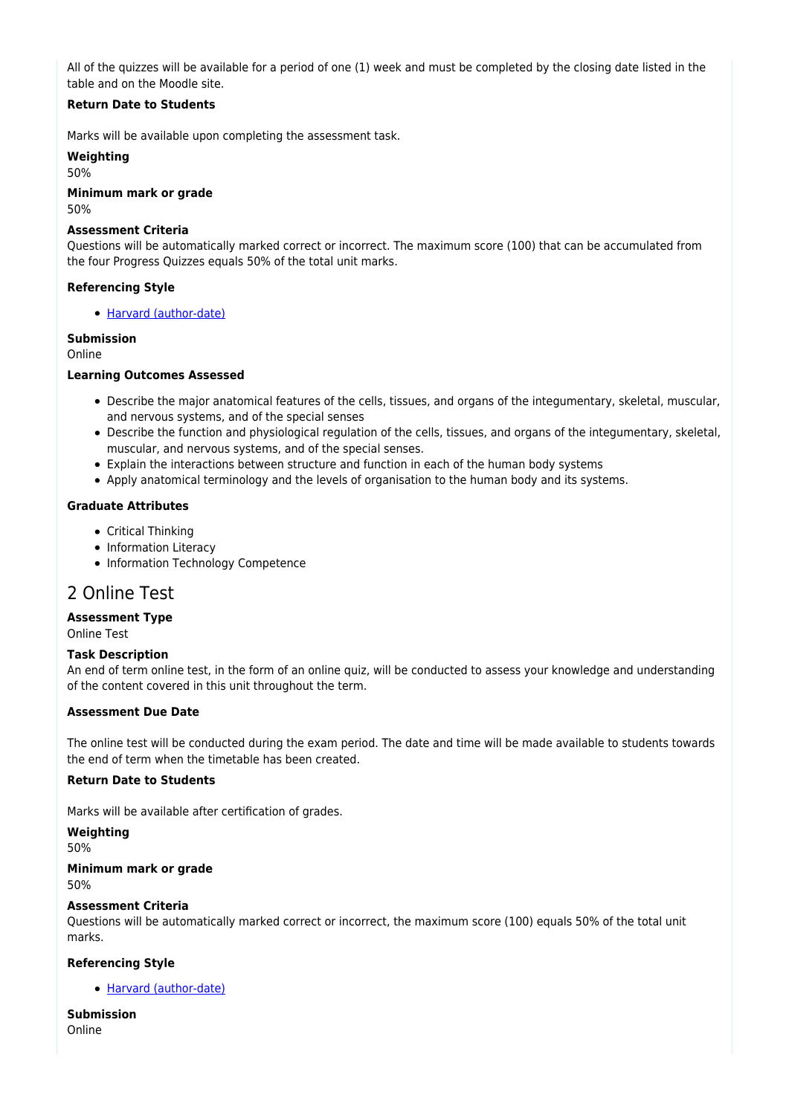All of the quizzes will be available for a period of one (1) week and must be completed by the closing date listed in the table and on the Moodle site.

### **Return Date to Students**

Marks will be available upon completing the assessment task.

**Weighting**

50%

**Minimum mark or grade** 50%

#### **Assessment Criteria**

Questions will be automatically marked correct or incorrect. The maximum score (100) that can be accumulated from the four Progress Quizzes equals 50% of the total unit marks.

### **Referencing Style**

[Harvard \(author-date\)](https://delivery-cqucontenthub.stylelabs.cloud/api/public/content/harvard-referencing-style.pdf?v=306efe7e)

### **Submission**

Online

### **Learning Outcomes Assessed**

- Describe the major anatomical features of the cells, tissues, and organs of the integumentary, skeletal, muscular, and nervous systems, and of the special senses
- Describe the function and physiological regulation of the cells, tissues, and organs of the integumentary, skeletal, muscular, and nervous systems, and of the special senses.
- Explain the interactions between structure and function in each of the human body systems
- Apply anatomical terminology and the levels of organisation to the human body and its systems.

### **Graduate Attributes**

- Critical Thinking
- Information Literacy
- Information Technology Competence

### 2 Online Test

### **Assessment Type**

Online Test

### **Task Description**

An end of term online test, in the form of an online quiz, will be conducted to assess your knowledge and understanding of the content covered in this unit throughout the term.

### **Assessment Due Date**

The online test will be conducted during the exam period. The date and time will be made available to students towards the end of term when the timetable has been created.

### **Return Date to Students**

Marks will be available after certification of grades.

**Weighting**

50%

**Minimum mark or grade** 50%

### **Assessment Criteria**

Questions will be automatically marked correct or incorrect, the maximum score (100) equals 50% of the total unit marks.

### **Referencing Style**

[Harvard \(author-date\)](https://delivery-cqucontenthub.stylelabs.cloud/api/public/content/harvard-referencing-style.pdf?v=306efe7e)

**Submission** Online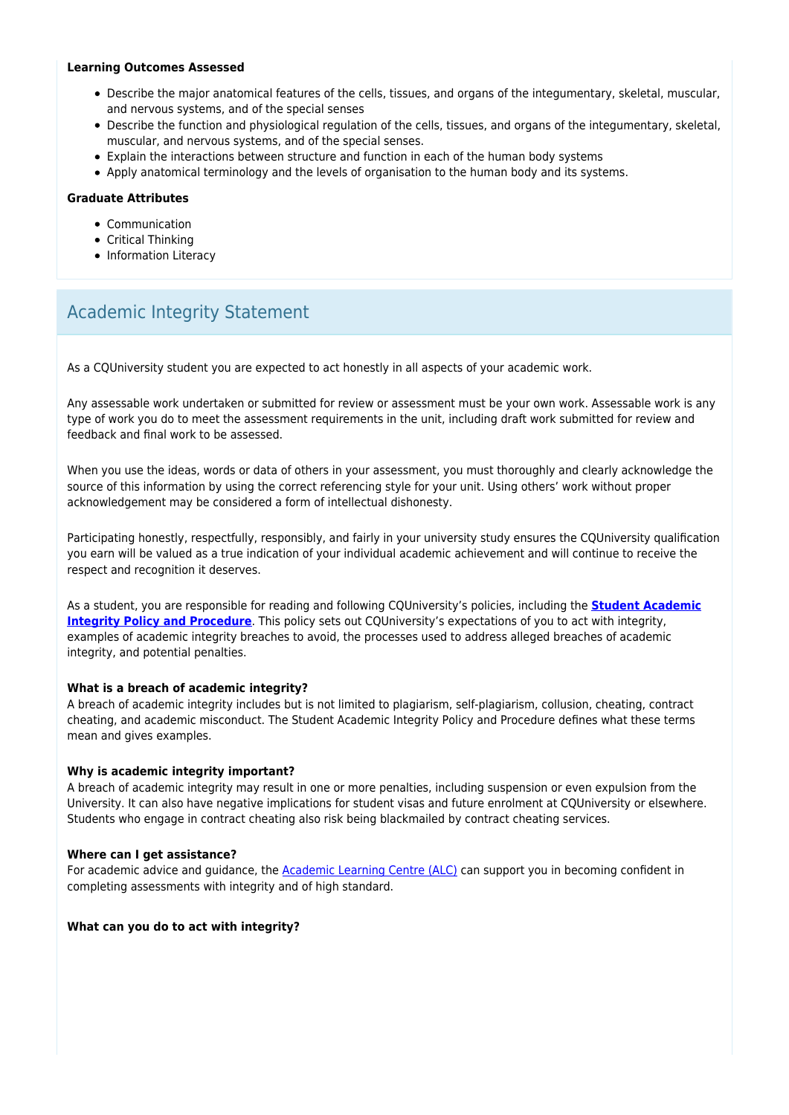#### **Learning Outcomes Assessed**

- Describe the major anatomical features of the cells, tissues, and organs of the integumentary, skeletal, muscular, and nervous systems, and of the special senses
- Describe the function and physiological regulation of the cells, tissues, and organs of the integumentary, skeletal, muscular, and nervous systems, and of the special senses.
- Explain the interactions between structure and function in each of the human body systems
- Apply anatomical terminology and the levels of organisation to the human body and its systems.

### **Graduate Attributes**

- Communication
- Critical Thinking
- Information Literacy

# Academic Integrity Statement

As a CQUniversity student you are expected to act honestly in all aspects of your academic work.

Any assessable work undertaken or submitted for review or assessment must be your own work. Assessable work is any type of work you do to meet the assessment requirements in the unit, including draft work submitted for review and feedback and final work to be assessed.

When you use the ideas, words or data of others in your assessment, you must thoroughly and clearly acknowledge the source of this information by using the correct referencing style for your unit. Using others' work without proper acknowledgement may be considered a form of intellectual dishonesty.

Participating honestly, respectfully, responsibly, and fairly in your university study ensures the CQUniversity qualification you earn will be valued as a true indication of your individual academic achievement and will continue to receive the respect and recognition it deserves.

As a student, you are responsible for reading and following CQUniversity's policies, including the **[Student Academic](https://www.cqu.edu.au/policy/sharepoint-document-download?file_uri={BE8380F3-F86D-4C55-AC0D-84A81EAFD6A2}/Student%20Academic%20Integrity%20Policy%20and%20Procedure%20(formerly%20known%20as%20the%20Academic%20Misconduct%20Procedure).pdf) [Integrity Policy and Procedure](https://www.cqu.edu.au/policy/sharepoint-document-download?file_uri={BE8380F3-F86D-4C55-AC0D-84A81EAFD6A2}/Student%20Academic%20Integrity%20Policy%20and%20Procedure%20(formerly%20known%20as%20the%20Academic%20Misconduct%20Procedure).pdf)**. This policy sets out CQUniversity's expectations of you to act with integrity, examples of academic integrity breaches to avoid, the processes used to address alleged breaches of academic integrity, and potential penalties.

#### **What is a breach of academic integrity?**

A breach of academic integrity includes but is not limited to plagiarism, self-plagiarism, collusion, cheating, contract cheating, and academic misconduct. The Student Academic Integrity Policy and Procedure defines what these terms mean and gives examples.

#### **Why is academic integrity important?**

A breach of academic integrity may result in one or more penalties, including suspension or even expulsion from the University. It can also have negative implications for student visas and future enrolment at CQUniversity or elsewhere. Students who engage in contract cheating also risk being blackmailed by contract cheating services.

#### **Where can I get assistance?**

For academic advice and guidance, the [Academic Learning Centre \(ALC\)](https://www.cqu.edu.au/student-life/academic-learning-centre) can support you in becoming confident in completing assessments with integrity and of high standard.

#### **What can you do to act with integrity?**